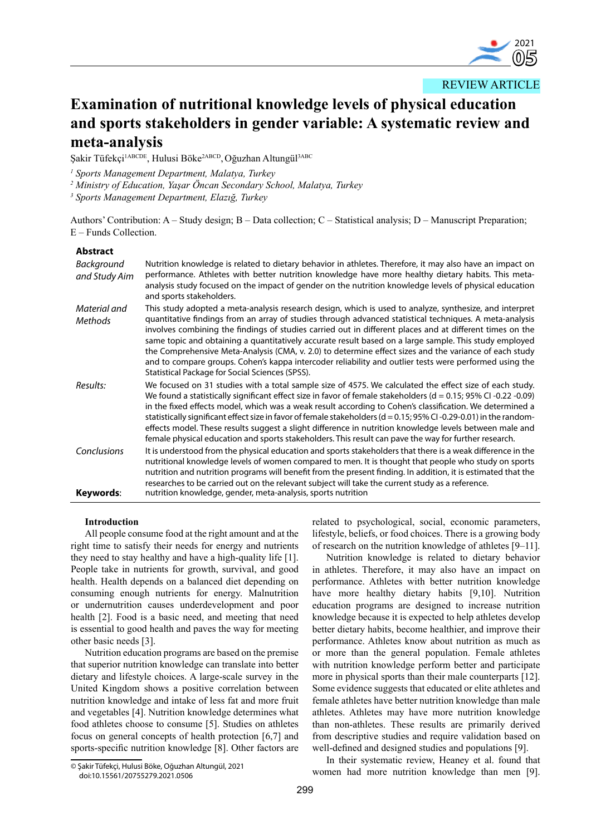

REVIEW ARTICLE

# **Examination of nutritional knowledge levels of physical education and sports stakeholders in gender variable: A systematic review and meta-analysis**

Şakir Tüfekçi<sup>1ABCDE</sup>, Hulusi Böke<sup>2ABCD</sup>, Oğuzhan Altungül<sup>3ABC</sup>

*1 Sports Management Department, Malatya, Turkey* 

*2 Ministry of Education, Yaşar Öncan Secondary School, Malatya, Turkey*

*3 Sports Management Department, Elazığ, Turkey* 

Authors' Contribution: A – Study design; B – Data collection; C – Statistical analysis; D – Manuscript Preparation; E – Funds Collection.

# **Abstract**

| Background<br>and Study Aim | Nutrition knowledge is related to dietary behavior in athletes. Therefore, it may also have an impact on<br>performance. Athletes with better nutrition knowledge have more healthy dietary habits. This meta-<br>analysis study focused on the impact of gender on the nutrition knowledge levels of physical education<br>and sports stakeholders.                                                                                                                                                                                                                                                                                                                                                            |
|-----------------------------|-----------------------------------------------------------------------------------------------------------------------------------------------------------------------------------------------------------------------------------------------------------------------------------------------------------------------------------------------------------------------------------------------------------------------------------------------------------------------------------------------------------------------------------------------------------------------------------------------------------------------------------------------------------------------------------------------------------------|
| Material and<br>Methods     | This study adopted a meta-analysis research design, which is used to analyze, synthesize, and interpret<br>quantitative findings from an array of studies through advanced statistical techniques. A meta-analysis<br>involves combining the findings of studies carried out in different places and at different times on the<br>same topic and obtaining a quantitatively accurate result based on a large sample. This study employed<br>the Comprehensive Meta-Analysis (CMA, v. 2.0) to determine effect sizes and the variance of each study<br>and to compare groups. Cohen's kappa intercoder reliability and outlier tests were performed using the<br>Statistical Package for Social Sciences (SPSS). |
| Results:                    | We focused on 31 studies with a total sample size of 4575. We calculated the effect size of each study.<br>We found a statistically significant effect size in favor of female stakeholders ( $d = 0.15$ ; 95% CI -0.22 -0.09)<br>in the fixed effects model, which was a weak result according to Cohen's classification. We determined a<br>statistically significant effect size in favor of female stakeholders ( $d = 0.15$ ; 95% CI-0.29-0.01) in the random-<br>effects model. These results suggest a slight difference in nutrition knowledge levels between male and<br>female physical education and sports stakeholders. This result can pave the way for further research.                         |
| Conclusions<br>Keywords:    | It is understood from the physical education and sports stakeholders that there is a weak difference in the<br>nutritional knowledge levels of women compared to men. It is thought that people who study on sports<br>nutrition and nutrition programs will benefit from the present finding. In addition, it is estimated that the<br>researches to be carried out on the relevant subject will take the current study as a reference.<br>nutrition knowledge, gender, meta-analysis, sports nutrition                                                                                                                                                                                                        |

# **Introduction**

All people consume food at the right amount and at the right time to satisfy their needs for energy and nutrients they need to stay healthy and have a high-quality life [1]. People take in nutrients for growth, survival, and good health. Health depends on a balanced diet depending on consuming enough nutrients for energy. Malnutrition or undernutrition causes underdevelopment and poor health [2]. Food is a basic need, and meeting that need is essential to good health and paves the way for meeting other basic needs [3].

Nutrition education programs are based on the premise that superior nutrition knowledge can translate into better dietary and lifestyle choices. A large-scale survey in the United Kingdom shows a positive correlation between nutrition knowledge and intake of less fat and more fruit and vegetables [4]. Nutrition knowledge determines what food athletes choose to consume [5]. Studies on athletes focus on general concepts of health protection [6,7] and sports-specific nutrition knowledge [8]. Other factors are

© Şakir Tüfekçi, Hulusi Böke, Oğuzhan Altungül, 2021 doi:10.15561/20755279.2021.0506

related to psychological, social, economic parameters, lifestyle, beliefs, or food choices. There is a growing body of research on the nutrition knowledge of athletes [9–11].

Nutrition knowledge is related to dietary behavior in athletes. Therefore, it may also have an impact on performance. Athletes with better nutrition knowledge have more healthy dietary habits [9,10]. Nutrition education programs are designed to increase nutrition knowledge because it is expected to help athletes develop better dietary habits, become healthier, and improve their performance. Athletes know about nutrition as much as or more than the general population. Female athletes with nutrition knowledge perform better and participate more in physical sports than their male counterparts [12]. Some evidence suggests that educated or elite athletes and female athletes have better nutrition knowledge than male athletes. Athletes may have more nutrition knowledge than non-athletes. These results are primarily derived from descriptive studies and require validation based on well-defined and designed studies and populations [9].

In their systematic review, Heaney et al. found that women had more nutrition knowledge than men [9].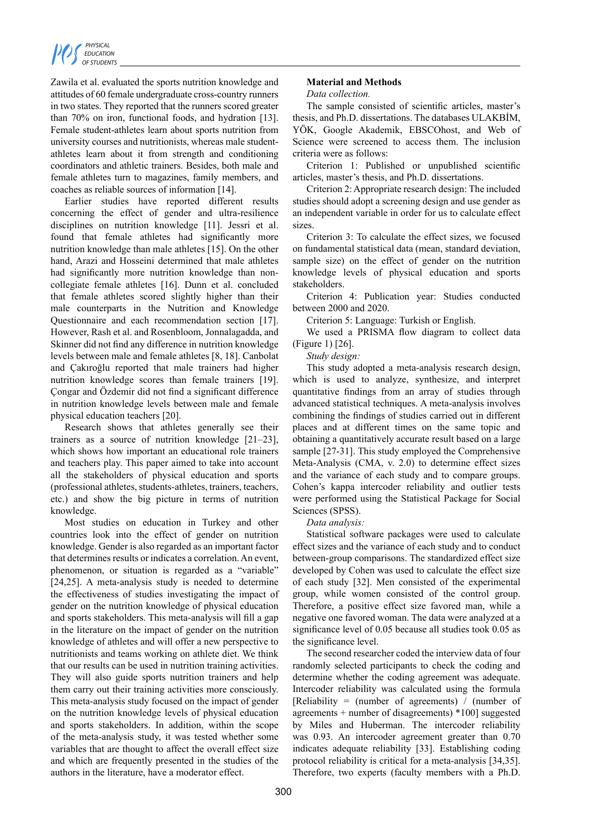

Zawila et al. evaluated the sports nutrition knowledge and attitudes of 60 female undergraduate cross-country runners in two states. They reported that the runners scored greater than 70% on iron, functional foods, and hydration [13]. Female student-athletes learn about sports nutrition from university courses and nutritionists, whereas male studentathletes learn about it from strength and conditioning coordinators and athletic trainers. Besides, both male and female athletes turn to magazines, family members, and coaches as reliable sources of information [14].

Earlier studies have reported different results concerning the effect of gender and ultra-resilience disciplines on nutrition knowledge [11]. Jessri et al. found that female athletes had significantly more nutrition knowledge than male athletes [15]. On the other hand, Arazi and Hosseini determined that male athletes had significantly more nutrition knowledge than noncollegiate female athletes [16]. Dunn et al. concluded that female athletes scored slightly higher than their male counterparts in the Nutrition and Knowledge Questionnaire and each recommendation section [17]. However, Rash et al. and Rosenbloom, Jonnalagadda, and Skinner did not find any difference in nutrition knowledge levels between male and female athletes [8, 18]. Canbolat and Çakıroğlu reported that male trainers had higher nutrition knowledge scores than female trainers [19]. Çongar and Özdemir did not find a significant difference in nutrition knowledge levels between male and female physical education teachers [20].

Research shows that athletes generally see their trainers as a source of nutrition knowledge [21–23], which shows how important an educational role trainers and teachers play. This paper aimed to take into account all the stakeholders of physical education and sports (professional athletes, students-athletes, trainers, teachers, etc.) and show the big picture in terms of nutrition knowledge.

Most studies on education in Turkey and other countries look into the effect of gender on nutrition knowledge. Gender is also regarded as an important factor that determines results or indicates a correlation. An event, phenomenon, or situation is regarded as a "variable" [24,25]. A meta-analysis study is needed to determine the effectiveness of studies investigating the impact of gender on the nutrition knowledge of physical education and sports stakeholders. This meta-analysis will fill a gap in the literature on the impact of gender on the nutrition knowledge of athletes and will offer a new perspective to nutritionists and teams working on athlete diet. We think that our results can be used in nutrition training activities. They will also guide sports nutrition trainers and help them carry out their training activities more consciously. This meta-analysis study focused on the impact of gender on the nutrition knowledge levels of physical education and sports stakeholders. In addition, within the scope of the meta-analysis study, it was tested whether some variables that are thought to affect the overall effect size and which are frequently presented in the studies of the authors in the literature, have a moderator effect.

# **Material and Methods**

#### *Data collection.*

The sample consisted of scientific articles, master's thesis, and Ph.D. dissertations. The databases ULAKBİM, YÖK, Google Akademik, EBSCOhost, and Web of Science were screened to access them. The inclusion criteria were as follows:

Criterion 1: Published or unpublished scientific articles, master's thesis, and Ph.D. dissertations.

Criterion 2: Appropriate research design: The included studies should adopt a screening design and use gender as an independent variable in order for us to calculate effect sizes.

Criterion 3: To calculate the effect sizes, we focused on fundamental statistical data (mean, standard deviation, sample size) on the effect of gender on the nutrition knowledge levels of physical education and sports stakeholders.

Criterion 4: Publication year: Studies conducted between 2000 and 2020.

Criterion 5: Language: Turkish or English.

We used a PRISMA flow diagram to collect data (Figure 1) [26].

*Study design:*

This study adopted a meta-analysis research design, which is used to analyze, synthesize, and interpret quantitative findings from an array of studies through advanced statistical techniques. A meta-analysis involves combining the findings of studies carried out in different places and at different times on the same topic and obtaining a quantitatively accurate result based on a large sample [27-31]. This study employed the Comprehensive Meta-Analysis (CMA, v. 2.0) to determine effect sizes and the variance of each study and to compare groups. Cohen's kappa intercoder reliability and outlier tests were performed using the Statistical Package for Social Sciences (SPSS).

*Data analysis:*

Statistical software packages were used to calculate effect sizes and the variance of each study and to conduct between-group comparisons. The standardized effect size developed by Cohen was used to calculate the effect size of each study [32]. Men consisted of the experimental group, while women consisted of the control group. Therefore, a positive effect size favored man, while a negative one favored woman. The data were analyzed at a significance level of 0.05 because all studies took 0.05 as the significance level.

The second researcher coded the interview data of four randomly selected participants to check the coding and determine whether the coding agreement was adequate. Intercoder reliability was calculated using the formula [Reliability = (number of agreements) / (number of agreements + number of disagreements) \*100] suggested by Miles and Huberman. The intercoder reliability was 0.93. An intercoder agreement greater than 0.70 indicates adequate reliability [33]. Establishing coding protocol reliability is critical for a meta-analysis [34,35]. Therefore, two experts (faculty members with a Ph.D.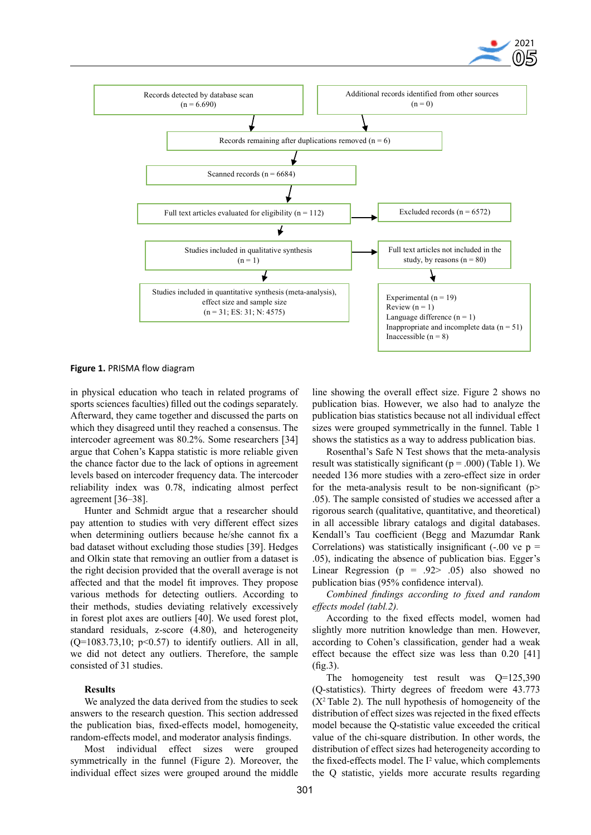



**Figure 1.** PRISMA flow diagram

in physical education who teach in related programs of sports sciences faculties) filled out the codings separately. Afterward, they came together and discussed the parts on which they disagreed until they reached a consensus. The intercoder agreement was 80.2%. Some researchers [34] argue that Cohen's Kappa statistic is more reliable given the chance factor due to the lack of options in agreement levels based on intercoder frequency data. The intercoder reliability index was 0.78, indicating almost perfect agreement [36–38].

Hunter and Schmidt argue that a researcher should pay attention to studies with very different effect sizes when determining outliers because he/she cannot fix a bad dataset without excluding those studies [39]. Hedges and Olkin state that removing an outlier from a dataset is the right decision provided that the overall average is not affected and that the model fit improves. They propose various methods for detecting outliers. According to their methods, studies deviating relatively excessively in forest plot axes are outliers [40]. We used forest plot, standard residuals, z-score (4.80), and heterogeneity  $(Q=1083.73, 10; p<0.57)$  to identify outliers. All in all, we did not detect any outliers. Therefore, the sample consisted of 31 studies.

## **Results**

We analyzed the data derived from the studies to seek answers to the research question. This section addressed the publication bias, fixed-effects model, homogeneity, random-effects model, and moderator analysis findings.

Most individual effect sizes were grouped symmetrically in the funnel (Figure 2). Moreover, the individual effect sizes were grouped around the middle

line showing the overall effect size. Figure 2 shows no publication bias. However, we also had to analyze the publication bias statistics because not all individual effect sizes were grouped symmetrically in the funnel. Table 1 shows the statistics as a way to address publication bias.

Rosenthal's Safe N Test shows that the meta-analysis result was statistically significant ( $p = .000$ ) (Table 1). We needed 136 more studies with a zero-effect size in order for the meta-analysis result to be non-significant ( $p$ > .05). The sample consisted of studies we accessed after a rigorous search (qualitative, quantitative, and theoretical) in all accessible library catalogs and digital databases. Kendall's Tau coefficient (Begg and Mazumdar Rank Correlations) was statistically insignificant  $(-.00 \text{ ve } p =$ .05), indicating the absence of publication bias. Egger's Linear Regression ( $p = .92$   $.05$ ) also showed no publication bias (95% confidence interval).

*Combined findings according to fixed and random effects model (tabl.2).*

According to the fixed effects model, women had slightly more nutrition knowledge than men. However, according to Cohen's classification, gender had a weak effect because the effect size was less than 0.20 [41] (fig.3).

The homogeneity test result was  $Q=125,390$ (Q-statistics). Thirty degrees of freedom were 43.773  $(X<sup>2</sup>$  Table 2). The null hypothesis of homogeneity of the distribution of effect sizes was rejected in the fixed effects model because the Q-statistic value exceeded the critical value of the chi-square distribution. In other words, the distribution of effect sizes had heterogeneity according to the fixed-effects model. The  $I^2$  value, which complements the Q statistic, yields more accurate results regarding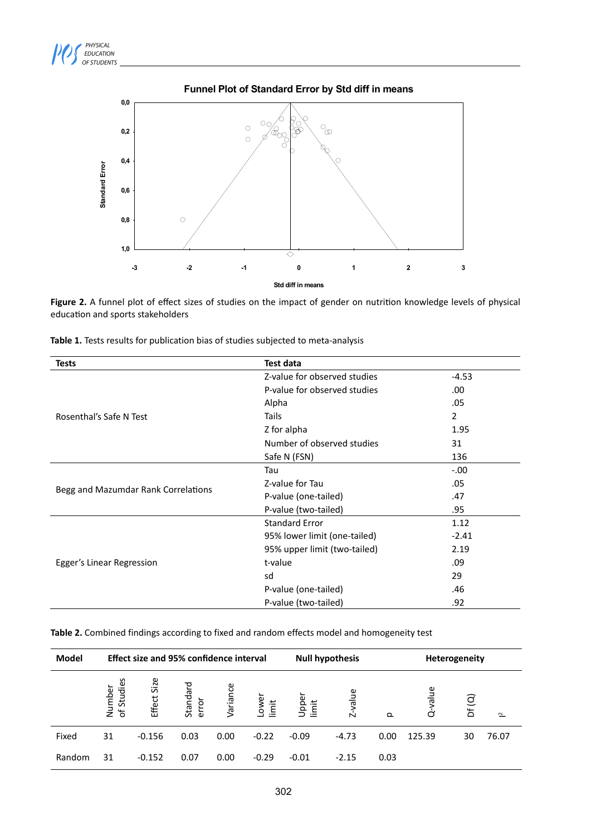



# **Funnel Plot of Standard Error by Std diff in means**

Figure 2. A funnel plot of effect sizes of studies on the impact of gender on nutrition knowledge levels of physical education and sports stakeholders

| Tests                               | <b>Test data</b>             |                |  |  |  |  |
|-------------------------------------|------------------------------|----------------|--|--|--|--|
|                                     | Z-value for observed studies | $-4.53$        |  |  |  |  |
|                                     | P-value for observed studies | .00            |  |  |  |  |
|                                     | Alpha                        | .05            |  |  |  |  |
| Rosenthal's Safe N Test             | Tails                        | $\overline{2}$ |  |  |  |  |
|                                     | Z for alpha                  | 1.95           |  |  |  |  |
|                                     | Number of observed studies   | 31             |  |  |  |  |
|                                     | Safe N (FSN)                 | 136            |  |  |  |  |
|                                     | Tau                          | $-.00$         |  |  |  |  |
|                                     | Z-value for Tau              | .05            |  |  |  |  |
| Begg and Mazumdar Rank Correlations | P-value (one-tailed)         | .47            |  |  |  |  |
|                                     | P-value (two-tailed)         | .95            |  |  |  |  |
|                                     | <b>Standard Error</b>        | 1.12           |  |  |  |  |
|                                     | 95% lower limit (one-tailed) | $-2.41$        |  |  |  |  |
|                                     | 95% upper limit (two-tailed) | 2.19           |  |  |  |  |
| Egger's Linear Regression           | t-value                      | .09            |  |  |  |  |
|                                     | sd                           | 29             |  |  |  |  |
|                                     | P-value (one-tailed)         | .46            |  |  |  |  |
|                                     | P-value (two-tailed)         | .92            |  |  |  |  |

**Table 1.** Tests results for publication bias of studies subjected to meta-analysis

| Table 2. Combined findings according to fixed and random effects model and homogeneity test |  |
|---------------------------------------------------------------------------------------------|--|
|---------------------------------------------------------------------------------------------|--|

| Model  | <b>Effect size and 95% confidence interval</b> |             |                   |          |                | <b>Null hypothesis</b> |            |          | Heterogeneity |       |              |  |
|--------|------------------------------------------------|-------------|-------------------|----------|----------------|------------------------|------------|----------|---------------|-------|--------------|--|
|        | of Studies<br>Number                           | Effect Size | Standard<br>error | Variance | -ower<br>limit | Upper<br>imit          | value<br>Ń | $\Omega$ | value<br>d    | Df(Q) | $\mathbf{r}$ |  |
| Fixed  | 31                                             | $-0.156$    | 0.03              | 0.00     | $-0.22$        | $-0.09$                | $-4.73$    | 0.00     | 125.39        | 30    | 76.07        |  |
| Random | 31                                             | $-0.152$    | 0.07              | 0.00     | $-0.29$        | $-0.01$                | $-2.15$    | 0.03     |               |       |              |  |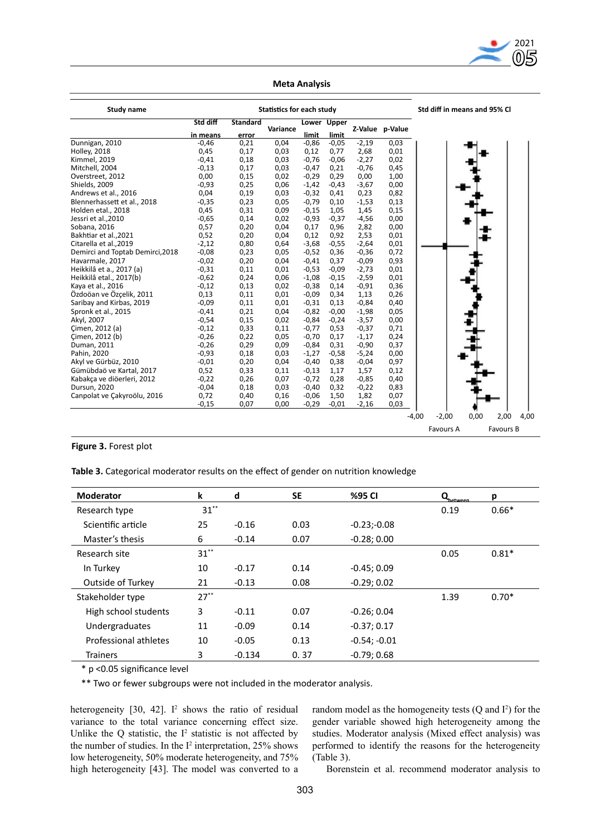

| <b>Study name</b>                | <b>Statistics for each study</b> |                 |          |         |             |         |                 | Std diff in means and 95% Cl |           |      |           |      |
|----------------------------------|----------------------------------|-----------------|----------|---------|-------------|---------|-----------------|------------------------------|-----------|------|-----------|------|
|                                  | Std diff                         | <b>Standard</b> | Variance |         | Lower Upper |         | Z-Value p-Value |                              |           |      |           |      |
|                                  | in means                         | error           |          | limit   | limit       |         |                 |                              |           |      |           |      |
| Dunnigan, 2010                   | $-0,46$                          | 0,21            | 0,04     | $-0,86$ | $-0,05$     | $-2,19$ | 0,03            |                              |           |      |           |      |
| <b>Holley, 2018</b>              | 0,45                             | 0,17            | 0,03     | 0,12    | 0,77        | 2,68    | 0,01            |                              |           |      |           |      |
| Kimmel, 2019                     | $-0,41$                          | 0,18            | 0,03     | $-0,76$ | $-0.06$     | $-2,27$ | 0,02            |                              |           |      |           |      |
| Mitchell, 2004                   | $-0,13$                          | 0,17            | 0,03     | $-0,47$ | 0,21        | $-0,76$ | 0,45            |                              |           |      |           |      |
| Overstreet, 2012                 | 0,00                             | 0,15            | 0,02     | $-0,29$ | 0,29        | 0,00    | 1,00            |                              |           |      |           |      |
| Shields, 2009                    | $-0,93$                          | 0,25            | 0,06     | $-1,42$ | $-0,43$     | $-3,67$ | 0,00            |                              |           |      |           |      |
| Andrews et al., 2016             | 0,04                             | 0,19            | 0,03     | $-0,32$ | 0,41        | 0,23    | 0,82            |                              |           |      |           |      |
| Blennerhassett et al., 2018      | $-0,35$                          | 0,23            | 0,05     | $-0,79$ | 0,10        | $-1,53$ | 0,13            |                              |           |      |           |      |
| Holden etal., 2018               | 0,45                             | 0,31            | 0,09     | $-0,15$ | 1,05        | 1,45    | 0,15            |                              |           |      |           |      |
| Jessri et al., 2010              | $-0,65$                          | 0,14            | 0,02     | $-0,93$ | $-0,37$     | $-4,56$ | 0,00            |                              |           |      |           |      |
| Sobana, 2016                     | 0,57                             | 0,20            | 0,04     | 0,17    | 0,96        | 2,82    | 0,00            |                              |           |      |           |      |
| Bakhtiar et al., 2021            | 0,52                             | 0,20            | 0,04     | 0,12    | 0,92        | 2,53    | 0,01            |                              |           |      |           |      |
| Citarella et al., 2019           | $-2,12$                          | 0,80            | 0,64     | $-3,68$ | $-0,55$     | $-2,64$ | 0,01            |                              |           |      |           |      |
| Demirci and Toptab Demirci, 2018 | $-0,08$                          | 0,23            | 0,05     | $-0,52$ | 0,36        | $-0,36$ | 0,72            |                              |           |      |           |      |
| Havarmale, 2017                  | $-0,02$                          | 0,20            | 0,04     | $-0,41$ | 0,37        | $-0,09$ | 0,93            |                              |           |      |           |      |
| Heikkilâ et a., 2017 (a)         | $-0,31$                          | 0,11            | 0,01     | $-0,53$ | $-0.09$     | $-2,73$ | 0,01            |                              |           |      |           |      |
| Heikkilâ etal., 2017(b)          | $-0,62$                          | 0,24            | 0,06     | $-1,08$ | $-0,15$     | $-2,59$ | 0,01            |                              |           |      |           |      |
| Kaya et al., 2016                | $-0,12$                          | 0,13            | 0,02     | $-0,38$ | 0,14        | $-0,91$ | 0,36            |                              |           |      |           |      |
| Özdoöan ve Özçelik, 2011         | 0,13                             | 0,11            | 0,01     | $-0,09$ | 0,34        | 1,13    | 0,26            |                              |           |      |           |      |
| Saribay and Kirbas, 2019         | $-0,09$                          | 0,11            | 0,01     | $-0,31$ | 0,13        | $-0,84$ | 0,40            |                              |           |      |           |      |
| Spronk et al., 2015              | $-0.41$                          | 0,21            | 0,04     | $-0.82$ | $-0.00$     | $-1,98$ | 0,05            |                              |           |      |           |      |
| Akyl, 2007                       | $-0,54$                          | 0,15            | 0,02     | $-0,84$ | $-0,24$     | $-3,57$ | 0,00            |                              |           |      |           |      |
| Cimen, 2012 (a)                  | $-0,12$                          | 0,33            | 0,11     | $-0,77$ | 0,53        | $-0,37$ | 0,71            |                              |           |      |           |      |
| Cimen, 2012 (b)                  | $-0,26$                          | 0,22            | 0,05     | $-0,70$ | 0,17        | $-1,17$ | 0,24            |                              |           |      |           |      |
| Duman, 2011                      | $-0,26$                          | 0,29            | 0,09     | $-0,84$ | 0,31        | $-0,90$ | 0,37            |                              |           |      |           |      |
| Pahin, 2020                      | $-0,93$                          | 0,18            | 0,03     | $-1,27$ | $-0,58$     | $-5,24$ | 0,00            |                              |           |      |           |      |
| Akyl ve Gürbüz, 2010             | $-0,01$                          | 0,20            | 0,04     | $-0,40$ | 0,38        | $-0,04$ | 0,97            |                              |           |      |           |      |
| Gümübdaö ve Kartal, 2017         | 0,52                             | 0,33            | 0,11     | $-0,13$ | 1,17        | 1,57    | 0,12            |                              |           |      |           |      |
| Kabakça ve diöerleri, 2012       | $-0,22$                          | 0,26            | 0,07     | $-0,72$ | 0,28        | $-0,85$ | 0,40            |                              |           |      |           |      |
| Dursun, 2020                     | $-0,04$                          | 0,18            | 0,03     | $-0,40$ | 0,32        | $-0,22$ | 0,83            |                              |           |      |           |      |
| Canpolat ve Çakyroölu, 2016      | 0,72                             | 0,40            | 0,16     | $-0,06$ | 1,50        | 1,82    | 0,07            |                              |           |      |           |      |
|                                  | $-0,15$                          | 0,07            | 0,00     | $-0,29$ | $-0.01$     | $-2,16$ | 0,03            |                              |           |      |           |      |
|                                  |                                  |                 |          |         |             |         |                 |                              |           |      |           |      |
|                                  |                                  |                 |          |         |             |         |                 | $-4,00$                      | $-2,00$   | 0,00 | 2,00      | 4,00 |
|                                  |                                  |                 |          |         |             |         |                 |                              | Favours A |      | Favours B |      |

# **Meta Analysis**

# **Figure 3.** Forest plot

**Table 3.** Categorical moderator results on the effect of gender on nutrition knowledge

| <b>Moderator</b>      | k       | d        | SE   | %95 CI         | Q <sub>betweep</sub> | p       |
|-----------------------|---------|----------|------|----------------|----------------------|---------|
| Research type         | $31***$ |          |      |                | 0.19                 | $0.66*$ |
| Scientific article    | 25      | $-0.16$  | 0.03 | $-0.23 - 0.08$ |                      |         |
| Master's thesis       | 6       | $-0.14$  | 0.07 | $-0.28; 0.00$  |                      |         |
| Research site         | $31**$  |          |      |                | 0.05                 | $0.81*$ |
| In Turkey             | 10      | $-0.17$  | 0.14 | $-0.45; 0.09$  |                      |         |
| Outside of Turkey     | 21      | $-0.13$  | 0.08 | $-0.29; 0.02$  |                      |         |
| Stakeholder type      | $27***$ |          |      |                | 1.39                 | $0.70*$ |
| High school students  | 3       | $-0.11$  | 0.07 | $-0.26; 0.04$  |                      |         |
| Undergraduates        | 11      | $-0.09$  | 0.14 | $-0.37; 0.17$  |                      |         |
| Professional athletes | 10      | $-0.05$  | 0.13 | $-0.54; -0.01$ |                      |         |
| <b>Trainers</b>       | 3       | $-0.134$ | 0.37 | $-0.79:0.68$   |                      |         |

\* p <0.05 significance level

\*\* Two or fewer subgroups were not included in the moderator analysis.

heterogeneity  $[30, 42]$ . I<sup>2</sup> shows the ratio of residual variance to the total variance concerning effect size. Unlike the  $Q$  statistic, the  $I^2$  statistic is not affected by the number of studies. In the  $I^2$  interpretation, 25% shows low heterogeneity, 50% moderate heterogeneity, and 75% high heterogeneity [43]. The model was converted to a

random model as the homogeneity tests  $(Q \text{ and } I^2)$  for the gender variable showed high heterogeneity among the studies. Moderator analysis (Mixed effect analysis) was performed to identify the reasons for the heterogeneity (Table 3).

Borenstein et al. recommend moderator analysis to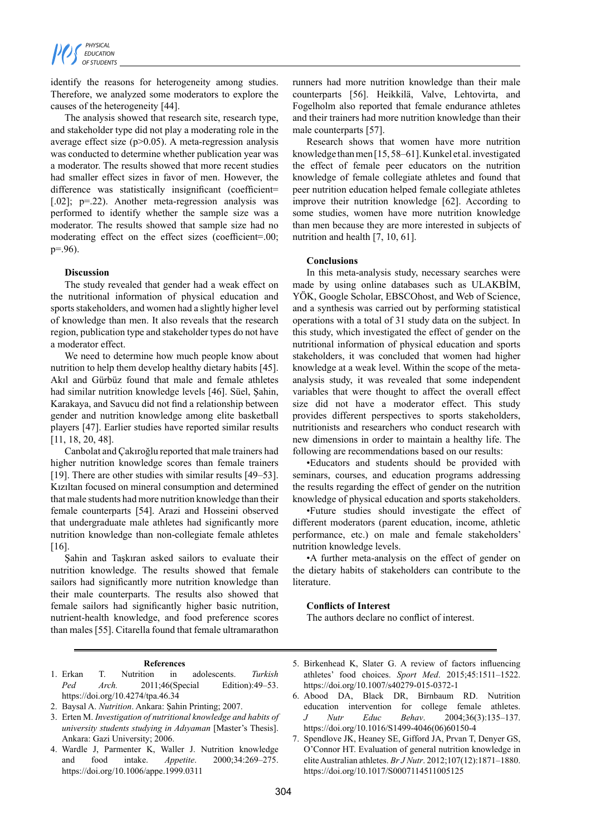identify the reasons for heterogeneity among studies. Therefore, we analyzed some moderators to explore the causes of the heterogeneity [44].

The analysis showed that research site, research type, and stakeholder type did not play a moderating role in the average effect size  $(p>0.05)$ . A meta-regression analysis was conducted to determine whether publication year was a moderator. The results showed that more recent studies had smaller effect sizes in favor of men. However, the difference was statistically insignificant (coefficient= [.02]; p=.22). Another meta-regression analysis was performed to identify whether the sample size was a moderator. The results showed that sample size had no moderating effect on the effect sizes (coefficient=.00; p=.96).

## **Discussion**

The study revealed that gender had a weak effect on the nutritional information of physical education and sports stakeholders, and women had a slightly higher level of knowledge than men. It also reveals that the research region, publication type and stakeholder types do not have a moderator effect.

We need to determine how much people know about nutrition to help them develop healthy dietary habits [45]. Akıl and Gürbüz found that male and female athletes had similar nutrition knowledge levels [46]. Süel, Şahin, Karakaya, and Savucu did not find a relationship between gender and nutrition knowledge among elite basketball players [47]. Earlier studies have reported similar results [11, 18, 20, 48].

Canbolat and Çakıroğlu reported that male trainers had higher nutrition knowledge scores than female trainers [19]. There are other studies with similar results [49–53]. Kızıltan focused on mineral consumption and determined that male students had more nutrition knowledge than their female counterparts [54]. Arazi and Hosseini observed that undergraduate male athletes had significantly more nutrition knowledge than non-collegiate female athletes [16].

Şahin and Taşkıran asked sailors to evaluate their nutrition knowledge. The results showed that female sailors had significantly more nutrition knowledge than their male counterparts. The results also showed that female sailors had significantly higher basic nutrition, nutrient-health knowledge, and food preference scores than males [55]. Citarella found that female ultramarathon

runners had more nutrition knowledge than their male counterparts [56]. Heikkilä, Valve, Lehtovirta, and Fogelholm also reported that female endurance athletes and their trainers had more nutrition knowledge than their male counterparts [57].

Research shows that women have more nutrition knowledge than men [15, 58–61]. Kunkel et al. investigated the effect of female peer educators on the nutrition knowledge of female collegiate athletes and found that peer nutrition education helped female collegiate athletes improve their nutrition knowledge [62]. According to some studies, women have more nutrition knowledge than men because they are more interested in subjects of nutrition and health [7, 10, 61].

# **Conclusions**

In this meta-analysis study, necessary searches were made by using online databases such as ULAKBİM, YÖK, Google Scholar, EBSCOhost, and Web of Science, and a synthesis was carried out by performing statistical operations with a total of 31 study data on the subject. In this study, which investigated the effect of gender on the nutritional information of physical education and sports stakeholders, it was concluded that women had higher knowledge at a weak level. Within the scope of the metaanalysis study, it was revealed that some independent variables that were thought to affect the overall effect size did not have a moderator effect. This study provides different perspectives to sports stakeholders, nutritionists and researchers who conduct research with new dimensions in order to maintain a healthy life. The following are recommendations based on our results:

•Educators and students should be provided with seminars, courses, and education programs addressing the results regarding the effect of gender on the nutrition knowledge of physical education and sports stakeholders.

•Future studies should investigate the effect of different moderators (parent education, income, athletic performance, etc.) on male and female stakeholders' nutrition knowledge levels.

•A further meta-analysis on the effect of gender on the dietary habits of stakeholders can contribute to the **literature** 

## **Conflicts of Interest**

The authors declare no conflict of interest.

## **References**

- 1. Erkan T. Nutrition in adolescents. *Turkish Ped Arch.* 2011;46(Special Edition):49–53. https://doi.org/10.4274/tpa.46.34
- 2. Baysal A. *Nutrition*. Ankara: Şahin Printing; 2007.
- 3. Erten M. *Investigation of nutritional knowledge and habits of university students studying in Adıyaman* [Master's Thesis]. Ankara: Gazi University; 2006.
- 4. Wardle J, Parmenter K, Waller J. Nutrition knowledge and food intake. *Appetite*. 2000;34:269–275. https://doi.org/10.1006/appe.1999.0311
- 5. Birkenhead K, Slater G. A review of factors influencing athletes' food choices. *Sport Med*. 2015;45:1511–1522. https://doi.org/10.1007/s40279-015-0372-1
- 6. Abood DA, Black DR, Birnbaum RD. Nutrition education intervention for college female athletes. *J Nutr Educ Behav*. 2004;36(3):135–137. https://doi.org/10.1016/S1499-4046(06)60150-4
- 7. Spendlove JK, Heaney SE, Gifford JA, Prvan T, Denyer GS, O'Connor HT. Evaluation of general nutrition knowledge in elite Australian athletes. *Br J Nutr*. 2012;107(12):1871–1880. https://doi.org/10.1017/S0007114511005125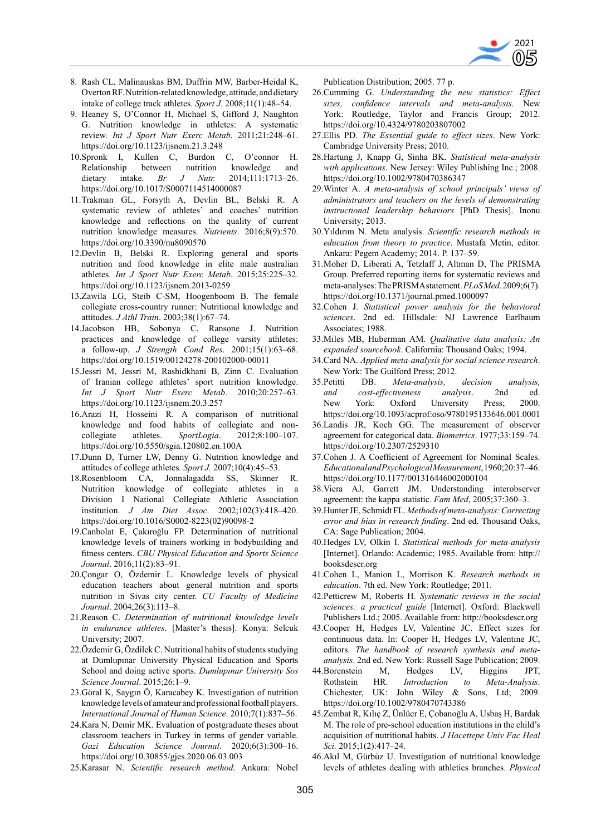

- 8. Rash CL, Malinauskas BM, Duffrin MW, Barber-Heidal K, Overton RF. Nutrition-related knowledge, attitude, and dietary intake of college track athletes. *Sport J*. 2008;11(1):48–54.
- 9. Heaney S, O'Connor H, Michael S, Gifford J, Naughton G. Nutrition knowledge in athletes: A systematic review. *Int J Sport Nutr Exerc Metab*. 2011;21:248–61. https://doi.org/10.1123/ijsnem.21.3.248
- 10.Spronk I, Kullen C, Burdon C, O'connor H. Relationship between nutrition knowledge and dietary intake. *Br J Nutr.* 2014;111:1713–26. https://doi.org/10.1017/S0007114514000087
- 11.Trakman GL, Forsyth A, Devlin BL, Belski R. A systematic review of athletes' and coaches' nutrition knowledge and reflections on the quality of current nutrition knowledge measures. *Nutrients*. 2016;8(9):570. https://doi.org/10.3390/nu8090570
- 12.Devlin B, Belski R. Exploring general and sports nutrition and food knowledge in elite male australian athletes. *Int J Sport Nutr Exerc Metab*. 2015;25:225–32. https://doi.org/10.1123/ijsnem.2013-0259
- 13.Zawila LG, Steib C-SM, Hoogenboom B. The female collegiate cross-country runner: Nutritional knowledge and attitudes. *J Athl Train*. 2003;38(1):67–74.
- 14.Jacobson HB, Sobonya C, Ransone J. Nutrition practices and knowledge of college varsity athletes: a follow-up. *J Strength Cond Res*. 2001;15(1):63–68. https://doi.org/10.1519/00124278-200102000-00011
- 15.Jessri M, Jessri M, Rashidkhani B, Zinn C. Evaluation of Iranian college athletes' sport nutrition knowledge. *Int J Sport Nutr Exerc Metab*. 2010;20:257–63. https://doi.org/10.1123/ijsnem.20.3.257
- 16.Arazi H, Hosseini R. A comparison of nutritional knowledge and food habits of collegiate and noncollegiate athletes. *SportLogia*. 2012;8:100–107. https://doi.org/10.5550/sgia.120802.en.100A
- 17.Dunn D, Turner LW, Denny G. Nutrition knowledge and attitudes of college athletes. *Sport J.* 2007;10(4):45–53.
- 18.Rosenbloom CA, Jonnalagadda SS, Skinner R. Nutrition knowledge of collegiate athletes in a Division I National Collegiate Athletic Association institution. *J Am Diet Assoc*. 2002;102(3):418–420. https://doi.org/10.1016/S0002-8223(02)90098-2
- 19.Canbolat E, Çakıroğlu FP. Determination of nutritional knowledge levels of trainers working in bodybuilding and fitness centers. *CBU Physical Education and Sports Science Journal*. 2016;11(2):83–91.
- 20.Çongar O, Özdemir L. Knowledge levels of physical education teachers about general nutrition and sports nutrition in Sivas city center. *CU Faculty of Medicine Journal*. 2004;26(3):113–8.
- 21.Reason C. *Determination of nutritional knowledge levels in endurance athletes*. [Master's thesis]. Konya: Selcuk University; 2007.
- 22.Özdemir G, Özdilek C. Nutritional habits of students studying at Dumlupınar University Physical Education and Sports School and doing active sports. *Dumlupınar University Sos Science Journal*. 2015;26:1–9.
- 23.Göral K, Saygın Ö, Karacabey K. Investigation of nutrition knowledge levels of amateur and professional football players. *International Journal of Human Science*. 2010;7(1):837–56.
- 24.Kara N, Demir MK. Evaluation of postgraduate theses about classroom teachers in Turkey in terms of gender variable. *Gazi Education Science Journal*. 2020;6(3):300–16. https://doi.org/10.30855/gjes.2020.06.03.003
- 25.Karasar N. *Scientific research method*. Ankara: Nobel

Publication Distribution; 2005. 77 p.

- 26.Cumming G. *Understanding the new statistics: Effect sizes, confidence intervals and meta-analysis*. New York: Routledge, Taylor and Francis Group; 2012. https://doi.org/10.4324/9780203807002
- 27.Ellis PD. *The Essential guide to effect sizes*. New York: Cambridge University Press; 2010.
- 28.Hartung J, Knapp G, Sinha BK. *Statistical meta-analysis with applications*. New Jersey: Wiley Publishing Inc.; 2008. https://doi.org/10.1002/9780470386347
- 29.Winter A. *A meta-analysis of school principals' views of administrators and teachers on the levels of demonstrating instructional leadership behaviors* [PhD Thesis]. Inonu University; 2013.
- 30.Yıldırım N. Meta analysis. *Scientific research methods in education from theory to practice*. Mustafa Metin, editor. Ankara: Pegem Academy; 2014. P. 137–59.
- 31.Moher D, Liberati A, Tetzlaff J, Altman D, The PRISMA Group. Preferred reporting items for systematic reviews and meta-analyses: The PRISMA statement. *PLoS Med*. 2009;6(7). https://doi.org/10.1371/journal.pmed.1000097
- 32.Cohen J. *Statistical power analysis for the behavioral sciences*. 2nd ed. Hillsdale: NJ Lawrence Earlbaum Associates; 1988.
- 33.Miles MB, Huberman AM. *Qualitative data analysis: An expanded sourcebook*. California: Thousand Oaks; 1994.
- 34.Card NA. *Applied meta-analysis for social science research*. New York: The Guilford Press; 2012.
- 35.Petitti DB. *Meta-analysis, decision analysis, and cost-effectiveness analysis*. 2nd ed. New York: Oxford University Press; 2000. https://doi.org/10.1093/acprof:oso/9780195133646.001.0001
- 36.Landis JR, Koch GG. The measurement of observer agreement for categorical data. *Biometrics*. 1977;33:159–74. https://doi.org/10.2307/2529310
- 37.Cohen J. A Coefficient of Agreement for Nominal Scales. *Educational and Psychological Measurement*, 1960;20:37–46. https://doi.org/10.1177/001316446002000104
- 38.Viera AJ, Garrett JM. Understanding interobserver agreement: the kappa statistic. *Fam Med*, 2005;37:360–3.
- 39.Hunter JE, Schmidt FL. *Methods of meta-analysis: Correcting error and bias in research finding*. 2nd ed. Thousand Oaks, CA: Sage Publication; 2004.
- 40.Hedges LV, Olkin I. *Statistical methods for meta-analysis* [Internet]. Orlando: Academic; 1985. Available from: http:// booksdescr.org
- 41.Cohen L, Manion L, Morrison K. *Research methods in education*. 7th ed. New York: Routledge; 2011.
- 42.Petticrew M, Roberts H. *Systematic reviews in the social sciences: a practical guide* [Internet]. Oxford: Blackwell Publishers Ltd.; 2005. Available from: http://booksdescr.org
- 43.Cooper H, Hedges LV, Valentine JC. Effect sizes for continuous data. In: Cooper H, Hedges LV, Valentıne JC, editors. *The handbook of research synthesis and metaanalysis*. 2nd ed. New York: Russell Sage Publication; 2009.
- 44.Borenstein M, Hedges LV, Higgins JPT, Rothstein HR. *Introduction to Meta-Analysis*. Chichester, UK: John Wiley & Sons, Ltd; 2009. https://doi.org/10.1002/9780470743386
- 45.Zembat R, Kılıç Z, Ünlüer E, Çobanoğlu A, Usbaş H, Bardak M. The role of pre-school education institutions in the child's acquisition of nutritional habits. *J Hacettepe Univ Fac Heal Sci.* 2015;1(2):417–24.
- 46.Akıl M, Gürbüz U. Investigation of nutritional knowledge levels of athletes dealing with athletics branches. *Physical*